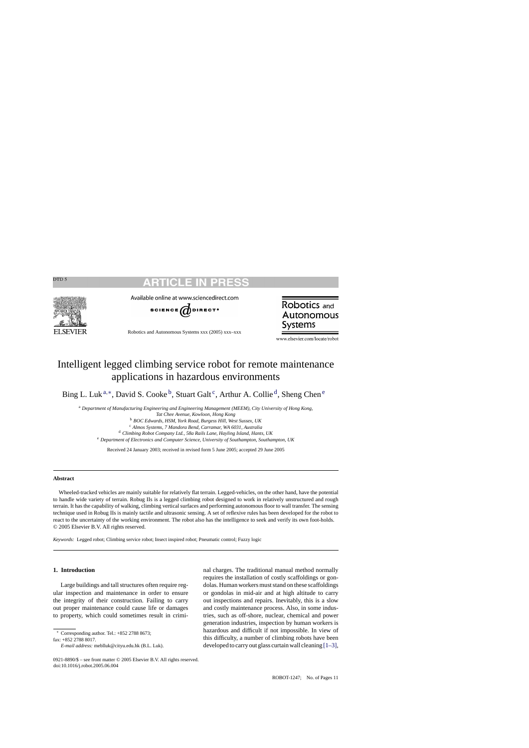

DTD<sub>5</sub>

Available online at www.sciencedirect.com

$$
\texttt{science} \bigotimes \texttt{d} \texttt{d} \texttt{d} \texttt{c} \texttt{t}
$$

Robotics and Autonomous Systems xxx (2005) xxx–xxx

Robotics and Autonomous Systems

www.elsevier.com/locate/robot

# Intelligent legged climbing service robot for remote maintenance applications in hazardous environments

Bing L. Luk<sup>a,∗</sup>, David S. Cooke<sup>b</sup>, Stuart Galt<sup>c</sup>, Arthur A. Collie<sup>d</sup>, Sheng Chen<sup>e</sup>

<sup>a</sup> *Department of Manufacturing Engineering and Engineering Management (MEEM), City University of Hong Kong, Tat Chee Avenue, Kowloon, Hong Kong* <sup>b</sup> *BOC Edwards, HSM, York Road, Burgess Hill, West Sussex, UK* <sup>c</sup> *Almos Systems, 7 Mandora Bend, Carramar, WA 6031, Australia*

<sup>d</sup> *Climbing Robot Company Ltd., 58a Rails Lane, Hayling Island, Hants, UK* <sup>e</sup> *Department of Electronics and Computer Science, University of Southampton, Southampton, UK*

Received 24 January 2003; received in revised form 5 June 2005; accepted 29 June 2005

# **Abstract**

Wheeled-tracked vehicles are mainly suitable for relatively flat terrain. Legged-vehicles, on the other hand, have the potential to handle wide variety of terrain. Robug IIs is a legged climbing robot designed to work in relatively unstructured and rough terrain. It has the capability of walking, climbing vertical surfaces and performing autonomous floor to wall transfer. The sensing technique used in Robug IIs is mainly tactile and ultrasonic sensing. A set of reflexive rules has been developed for the robot to react to the uncertainty of the working environment. The robot also has the intelligence to seek and verify its own foot-holds. © 2005 Elsevier B.V. All rights reserved.

*Keywords:* Legged robot; Climbing service robot; Insect inspired robot; Pneumatic control; Fuzzy logic

# **1. Introduction**

Large buildings and tall structures often require regular inspection and maintenance in order to ensure the integrity of their construction. Failing to carry out proper maintenance could cause life or damages to property, which could sometimes result in crimi-

∗ Corresponding author. Tel.: +852 2788 8673;

fax: +852 2788 8017.

nal charges. The traditional manual method normally requires the installation of costly scaffoldings or gondolas. Human workers must stand on these scaffoldings or gondolas in mid-air and at high altitude to carry out inspections and repairs. Inevitably, this is a slow and costly maintenance process. Also, in some industries, such as off-shore, nuclear, chemical and power generation industries, inspection by human workers is hazardous and difficult if not impossible. In view of this difficulty, a number of climbing robots have been developed to carry out glass curtain wall cleaning [\[1–3\],](#page-9-0)

*E-mailaddress:* meblluk@cityu.edu.hk (B.L. Luk).

<sup>0921-8890/\$ –</sup> see front matter © 2005 Elsevier B.V. All rights reserved. doi:10.1016/j.robot.2005.06.004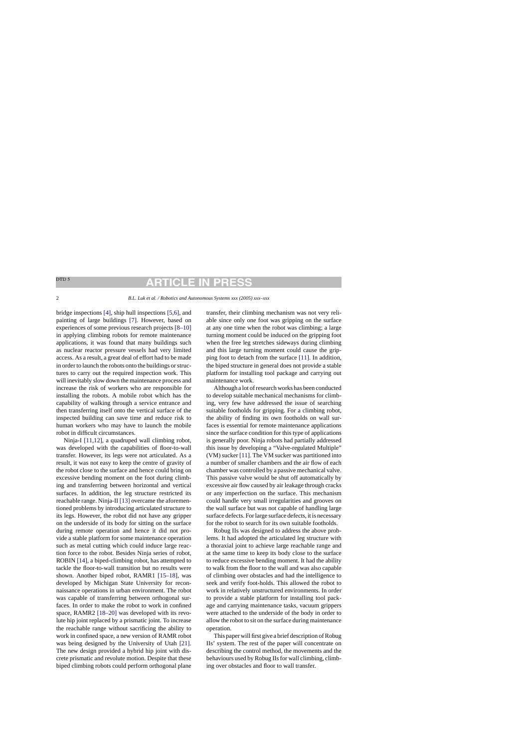# **ARTICLE IN PR**

bridge inspections [\[4\], s](#page-9-0)hip hull inspections [\[5,6\],](#page-9-0) and painting of large buildings [\[7\].](#page-9-0) However, based on experiences of some previous research projects [\[8–10\]](#page-9-0) in applying climbing robots for remote maintenance applications, it was found that many buildings such as nuclear reactor pressure vessels had very limited access. As a result, a great deal of effort had to be made in order to launch the robots onto the buildings or structures to carry out the required inspection work. This will inevitably slow down the maintenance process and increase the risk of workers who are responsible for installing the robots. A mobile robot which has the capability of walking through a service entrance and then transferring itself onto the vertical surface of the inspected building can save time and reduce risk to human workers who may have to launch the mobile robot in difficult circumstances.

Ninja-I [\[11,12\],](#page-9-0) a quadruped wall climbing robot, was developed with the capabilities of floor-to-wall transfer. However, its legs were not articulated. As a result, it was not easy to keep the centre of gravity of the robot close to the surface and hence could bring on excessive bending moment on the foot during climbing and transferring between horizontal and vertical surfaces. In addition, the leg structure restricted its reachable range. Ninja-II [\[13\]](#page-9-0) overcame the aforementioned problems by introducing articulated structure to its legs. However, the robot did not have any gripper on the underside of its body for sitting on the surface during remote operation and hence it did not provide a stable platform for some maintenance operation such as metal cutting which could induce large reaction force to the robot. Besides Ninja series of robot, ROBIN [\[14\], a](#page-9-0) biped-climbing robot, has attempted to tackle the floor-to-wall transition but no results were shown. Another biped robot, RAMR1 [\[15–18\],](#page-9-0) was developed by Michigan State University for reconnaissance operations in urban environment. The robot was capable of transferring between orthogonal surfaces. In order to make the robot to work in confined space, RAMR2 [\[18–20\]](#page-9-0) was developed with its revolute hip joint replaced by a prismatic joint. To increase the reachable range without sacrificing the ability to work in confined space, a new version of RAMR robot was being designed by the University of Utah [\[21\].](#page-9-0) The new design provided a hybrid hip joint with discrete prismatic and revolute motion. Despite that these biped climbing robots could perform orthogonal plane transfer, their climbing mechanism was not very reliable since only one foot was gripping on the surface at any one time when the robot was climbing; a large turning moment could be induced on the gripping foot when the free leg stretches sideways during climbing and this large turning moment could cause the gripping foot to detach from the surface [\[11\].](#page-9-0) In addition, the biped structure in general does not provide a stable platform for installing tool package and carrying out maintenance work.

Although a lot of research works has been conducted to develop suitable mechanical mechanisms for climbing, very few have addressed the issue of searching suitable footholds for gripping. For a climbing robot, the ability of finding its own footholds on wall surfaces is essential for remote maintenance applications since the surface condition for this type of applications is generally poor. Ninja robots had partially addressed this issue by developing a "Valve-regulated Multiple" (VM) sucker [\[11\]. T](#page-9-0)he VM sucker was partitioned into a number of smaller chambers and the air flow of each chamber was controlled by a passive mechanical valve. This passive valve would be shut off automatically by excessive air flow caused by air leakage through cracks or any imperfection on the surface. This mechanism could handle very small irregularities and grooves on the wall surface but was not capable of handling large surface defects. For large surface defects, it is necessary for the robot to search for its own suitable footholds.

Robug IIs was designed to address the above problems. It had adopted the articulated leg structure with a thoraxial joint to achieve large reachable range and at the same time to keep its body close to the surface to reduce excessive bending moment. It had the ability to walk from the floor to the wall and was also capable of climbing over obstacles and had the intelligence to seek and verify foot-holds. This allowed the robot to work in relatively unstructured environments. In order to provide a stable platform for installing tool package and carrying maintenance tasks, vacuum grippers were attached to the underside of the body in order to allow the robot to sit on the surface during maintenance operation.

This paper will first give a brief description of Robug IIs' system. The rest of the paper will concentrate on describing the control method, the movements and the behaviours used by Robug IIs for wall climbing, climbing over obstacles and floor to wall transfer.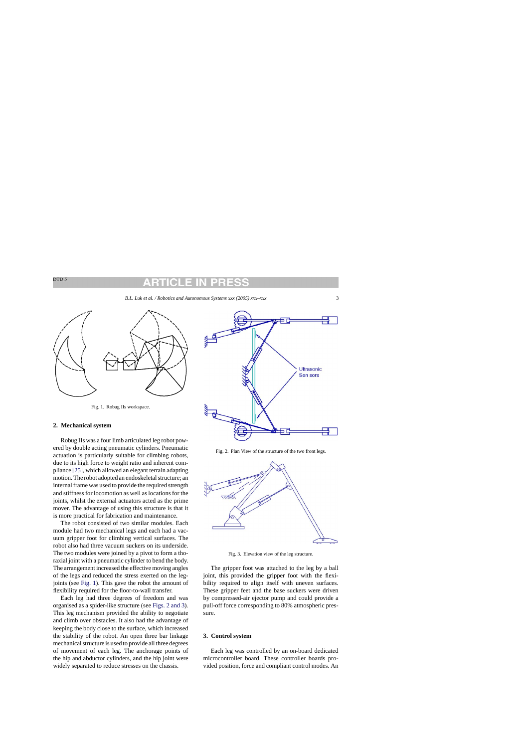

Fig. 1. Robug IIs workspace.

# **2. Mechanical system**

Robug IIs was a four limb articulated leg robot powered by double acting pneumatic cylinders. Pneumatic actuation is particularly suitable for climbing robots, due to its high force to weight ratio and inherent compliance [\[25\], w](#page-9-0)hich allowed an elegant terrain adapting motion. The robot adopted an endoskeletal structure; an internal frame was used to provide the required strength and stiffness for locomotion as well as locations for the joints, whilst the external actuators acted as the prime mover. The advantage of using this structure is that it is more practical for fabrication and maintenance.

The robot consisted of two similar modules. Each module had two mechanical legs and each had a vacuum gripper foot for climbing vertical surfaces. The robot also had three vacuum suckers on its underside. The two modules were joined by a pivot to form a thoraxial joint with a pneumatic cylinder to bend the body. The arrangement increased the effective moving angles of the legs and reduced the stress exerted on the legjoints (see Fig. 1). This gave the robot the amount of flexibility required for the floor-to-wall transfer.

Each leg had three degrees of freedom and was organised as a spider-like structure (see Figs. 2 and 3). This leg mechanism provided the ability to negotiate and climb over obstacles. It also had the advantage of keeping the body close to the surface, which increased the stability of the robot. An open three bar linkage mechanical structure is used to provide all three degrees of movement of each leg. The anchorage points of the hip and abductor cylinders, and the hip joint were widely separated to reduce stresses on the chassis.



Fig. 2. Plan View of the structure of the two front legs.



Fig. 3. Elevation view of the leg structure.

The gripper foot was attached to the leg by a ball joint, this provided the gripper foot with the flexibility required to align itself with uneven surfaces. These gripper feet and the base suckers were driven by compressed-air ejector pump and could provide a pull-off force corresponding to 80% atmospheric pressure.

## **3. Control system**

Each leg was controlled by an on-board dedicated microcontroller board. These controller boards provided position, force and compliant control modes. An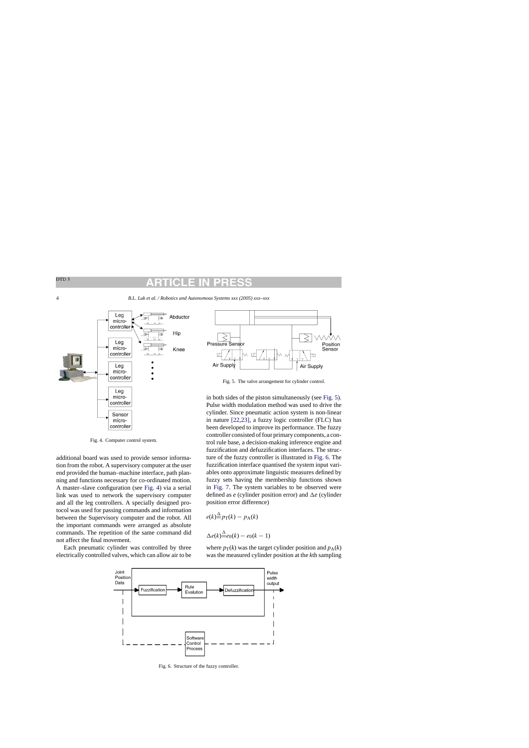

Fig. 4. Computer control system.

additional board was used to provide sensor information from the robot. A supervisory computer at the user end provided the human–machine interface, path planning and functions necessary for co-ordinated motion. A master–slave configuration (see Fig. 4) via a serial link was used to network the supervisory computer and all the leg controllers. A specially designed protocol was used for passing commands and information between the Supervisory computer and the robot. All the important commands were arranged as absolute commands. The repetition of the same command did not affect the final movement.

Each pneumatic cylinder was controlled by three electrically controlled valves, which can allow air to be



Fig. 5. The valve arrangement for cylinder control.

in both sides of the piston simultaneously (see Fig. 5). Pulse width modulation method was used to drive the cylinder. Since pneumatic action system is non-linear in nature [\[22,23\],](#page-9-0) a fuzzy logic controller (FLC) has been developed to improve its performance. The fuzzy controller consisted of four primary components, a control rule base, a decision-making inference engine and fuzzification and defuzzification interfaces. The structure of the fuzzy controller is illustrated in Fig. 6. The fuzzification interface quantised the system input variables onto approximate linguistic measures defined by fuzzy sets having the membership functions shown in [Fig. 7.](#page-4-0) The system variables to be observed were defined as  $e$  (cylinder position error) and  $\Delta e$  (cylinder position error difference)

$$
e(k) \stackrel{\Delta}{=} p_{\rm T}(k) - p_{\rm A}(k)
$$

$$
\Delta e(k) \stackrel{\Delta}{=} e_0(k) - e_0(k-1)
$$

where  $p_T(k)$  was the target cylinder position and  $p_A(k)$ was the measured cylinder position at the *k*th sampling



Fig. 6. Structure of the fuzzy controller.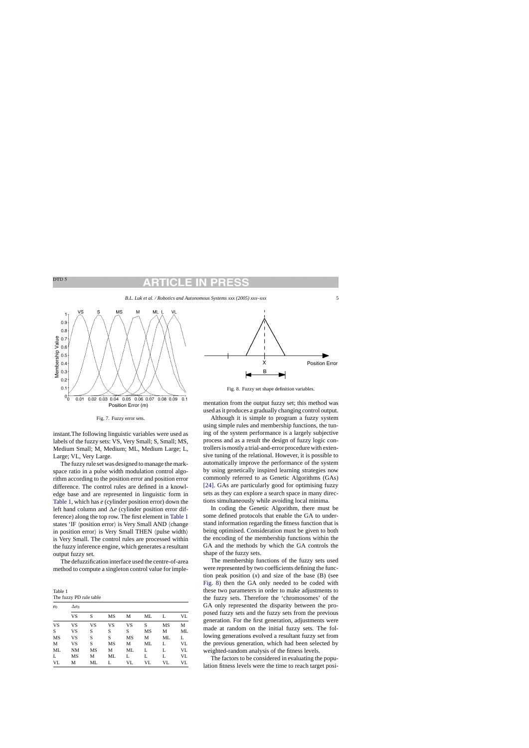### BT  $C<sub>1</sub>$

*B.L. Luk et al. / Robotics and Autonomous Systems xxx (2005) xxx–xxx* 5

<span id="page-4-0"></span>

Fig. 7. Fuzzy error sets.

instant.The following linguistic variables were used as labels of the fuzzy sets: VS, Very Small; S, Small; MS, Medium Small; M, Medium; ML, Medium Large; L, Large; VL, Very Large.

The fuzzy rule set was designed to manage the markspace ratio in a pulse width modulation control algorithm according to the position error and position error difference. The control rules are defined in a knowledge base and are represented in linguistic form in Table 1, which has *e* (cylinder position error) down the left hand column and  $\Delta e$  (cylinder position error difference) along the top row. The first element in Table 1 states 'IF  $\langle$  position error $\rangle$  is Very Small AND  $\langle$  change in position error) is Very Small THEN  $\langle \text{pulse width} \rangle$ is Very Small. The control rules are processed within the fuzzy inference engine, which generates a resultant output fuzzy set.

The defuzzification interface used the centre-of-area method to compute a singleton control value for imple-

Table 1 The fuzzy PD rule table

| $e_0$     | $\Delta e_0$ |    |    |    |    |    |    |
|-----------|--------------|----|----|----|----|----|----|
|           | <b>VS</b>    | S  | MS | М  | ML | L  | VL |
| <b>VS</b> | <b>VS</b>    | VS | VS | VS | S  | MS | М  |
| S         | <b>VS</b>    | S  | S  | S  | MS | М  | ML |
| <b>MS</b> | <b>VS</b>    | S  | S  | MS | М  | МL | L  |
| M         | <b>VS</b>    | S  | MS | М  | ML | L  | VL |
| ML        | NM           | MS | М  | ML | L  | L  | VL |
| L         | MS           | М  | ML | L  | L  | L  | VL |
| <b>VL</b> | М            | МL | L  | VL | VL | VL | VL |



Fig. 8. Fuzzy set shape definition variables.

mentation from the output fuzzy set; this method was used as it produces a gradually changing control output.

Although it is simple to program a fuzzy system using simple rules and membership functions, the tuning of the system performance is a largely subjective process and as a result the design of fuzzy logic controllers is mostly a trial-and-error procedure with extensive tuning of the relational. However, it is possible to automatically improve the performance of the system by using genetically inspired learning strategies now commonly referred to as Genetic Algorithms (GAs) [\[24\].](#page-9-0) GAs are particularly good for optimising fuzzy sets as they can explore a search space in many directions simultaneously while avoiding local minima.

In coding the Genetic Algorithm, there must be some defined protocols that enable the GA to understand information regarding the fitness function that is being optimised. Consideration must be given to both the encoding of the membership functions within the GA and the methods by which the GA controls the shape of the fuzzy sets.

The membership functions of the fuzzy sets used were represented by two coefficients defining the function peak position  $(x)$  and size of the base  $(B)$  (see Fig. 8) then the GA only needed to be coded with these two parameters in order to make adjustments to the fuzzy sets. Therefore the 'chromosomes' of the GA only represented the disparity between the proposed fuzzy sets and the fuzzy sets from the previous generation. For the first generation, adjustments were made at random on the initial fuzzy sets. The following generations evolved a resultant fuzzy set from the previous generation, which had been selected by weighted-random analysis of the fitness levels.

The factors to be considered in evaluating the population fitness levels were the time to reach target posi-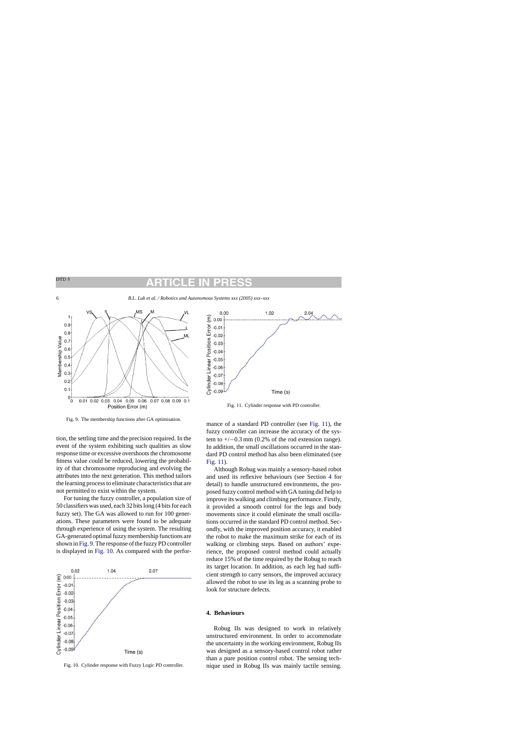

Fig. 9. The membership functions after GA optimisation.

tion, the settling time and the precision required. In the event of the system exhibiting such qualities as slow response time or excessive overshoots the chromosome fitness value could be reduced, lowering the probability of that chromosome reproducing and evolving the attributes into the next generation. This method tailors the learning process to eliminate characteristics that are not permitted to exist within the system.

For tuning the fuzzy controller, a population size of 50 classifiers was used, each 32 bits long (4 bits for each fuzzy set). The GA was allowed to run for 100 generations. These parameters were found to be adequate through experience of using the system. The resulting GA-generated optimal fuzzy membership functions are shown in Fig. 9. The response of the fuzzy PD controller is displayed in Fig. 10. As compared with the perfor-



Fig. 10. Cylinder response with Fuzzy Logic PD controller.



Fig. 11. Cylinder response with PD controller.

mance of a standard PD controller (see Fig. 11), the fuzzy controller can increase the accuracy of the system to +/−0.3 mm (0.2% of the rod extension range). In addition, the small oscillations occurred in the standard PD control method has also been eliminated (see Fig. 11).

Although Robug was mainly a sensory-based robot and used its reflexive behaviours (see Section 4 for detail) to handle unstructured environments, the proposed fuzzy control method with GA tuning did help to improve its walking and climbing performance. Firstly, it provided a smooth control for the legs and body movements since it could eliminate the small oscillations occurred in the standard PD control method. Secondly, with the improved position accuracy, it enabled the robot to make the maximum strike for each of its walking or climbing steps. Based on authors' experience, the proposed control method could actually reduce 15% of the time required by the Robug to reach its target location. In addition, as each leg had sufficient strength to carry sensors, the improved accuracy allowed the robot to use its leg as a scanning probe to look for structure defects.

# **4. Behaviours**

Robug IIs was designed to work in relatively unstructured environment. In order to accommodate the uncertainty in the working environment, Robug IIs was designed as a sensory-based control robot rather than a pure position control robot. The sensing technique used in Robug IIs was mainly tactile sensing.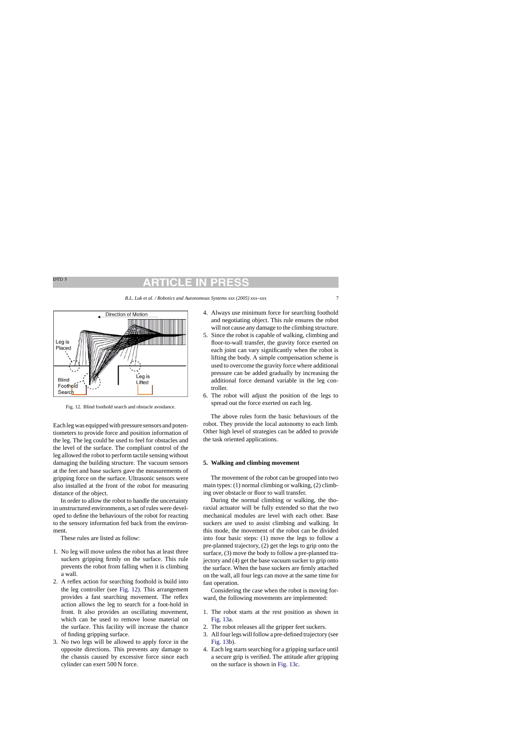### **ARTICLE IN**  $\supset$

*B.L. Luk et al. / Robotics and Autonomous Systems xxx (2005) xxx–xxx* 7



Fig. 12. Blind foothold search and obstacle avoidance.

Each leg was equipped with pressure sensors and potentiometers to provide force and position information of the leg. The leg could be used to feel for obstacles and the level of the surface. The compliant control of the leg allowed the robot to perform tactile sensing without damaging the building structure. The vacuum sensors at the feet and base suckers gave the measurements of gripping force on the surface. Ultrasonic sensors were also installed at the front of the robot for measuring distance of the object.

In order to allow the robot to handle the uncertainty in unstructured environments, a set of rules were developed to define the behaviours of the robot for reacting to the sensory information fed back from the environment.

These rules are listed as follow:

- 1. No leg will move unless the robot has at least three suckers gripping firmly on the surface. This rule prevents the robot from falling when it is climbing a wall.
- 2. A reflex action for searching foothold is build into the leg controller (see Fig. 12). This arrangement provides a fast searching movement. The reflex action allows the leg to search for a foot-hold in front. It also provides an oscillating movement, which can be used to remove loose material on the surface. This facility will increase the chance of finding gripping surface.
- 3. No two legs will be allowed to apply force in the opposite directions. This prevents any damage to the chassis caused by excessive force since each cylinder can exert 500 N force.
- 4. Always use minimum force for searching foothold and negotiating object. This rule ensures the robot will not cause any damage to the climbing structure.
- 5. Since the robot is capable of walking, climbing and floor-to-wall transfer, the gravity force exerted on each joint can vary significantly when the robot is lifting the body. A simple compensation scheme is used to overcome the gravity force where additional pressure can be added gradually by increasing the additional force demand variable in the leg controller.
- 6. The robot will adjust the position of the legs to spread out the force exerted on each leg.

The above rules form the basic behaviours of the robot. They provide the local autonomy to each limb. Other high level of strategies can be added to provide the task oriented applications.

# **5. Walking and climbing movement**

The movement of the robot can be grouped into two main types: (1) normal climbing or walking, (2) climbing over obstacle or floor to wall transfer.

During the normal climbing or walking, the thoraxial actuator will be fully extended so that the two mechanical modules are level with each other. Base suckers are used to assist climbing and walking. In this mode, the movement of the robot can be divided into four basic steps: (1) move the legs to follow a pre-planned trajectory, (2) get the legs to grip onto the surface, (3) move the body to follow a pre-planned trajectory and (4) get the base vacuum sucker to grip onto the surface. When the base suckers are firmly attached on the wall, all four legs can move at the same time for fast operation.

Considering the case when the robot is moving forward, the following movements are implemented:

- 1. The robot starts at the rest position as shown in [Fig. 13a.](#page-7-0)
- 2. The robot releases all the gripper feet suckers.
- 3. All four legs will follow a pre-defined trajectory (see [Fig. 13b\)](#page-7-0).
- 4. Each leg starts searching for a gripping surface until a secure grip is verified. The attitude after gripping on the surface is shown in [Fig. 13c.](#page-7-0)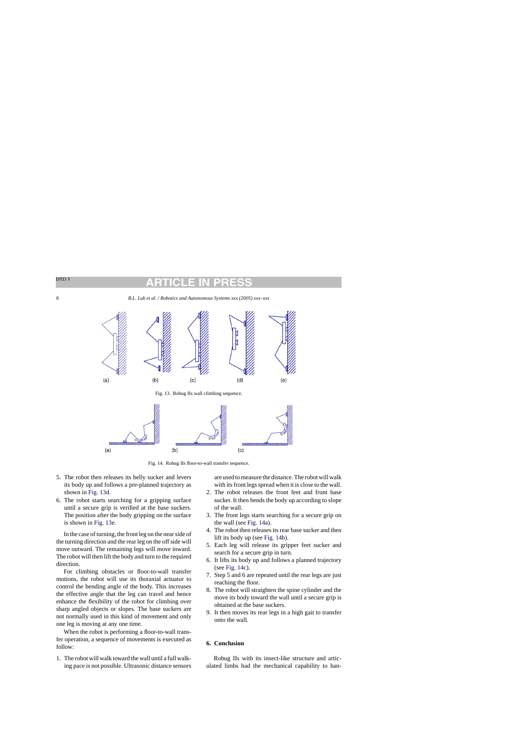

Fig. 13. Robug IIs wall climbing sequence.



Fig. 14. Robug IIs floor-to-wall transfer sequence.

- 5. The robot then releases its belly sucker and levers its body up and follows a pre-planned trajectory as shown in Fig. 13d.
- 6. The robot starts searching for a gripping surface until a secure grip is verified at the base suckers. The position after the body gripping on the surface is shown in Fig. 13e.

In the case of turning, the front leg on the near side of the turning direction and the rear leg on the off side will move outward. The remaining legs will move inward. The robot will then lift the body and turn to the required direction.

For climbing obstacles or floor-to-wall transfer motions, the robot will use its thoraxial actuator to control the bending angle of the body. This increases the effective angle that the leg can travel and hence enhance the flexibility of the robot for climbing over sharp angled objects or slopes. The base suckers are not normally used in this kind of movement and only one leg is moving at any one time.

When the robot is performing a floor-to-wall transfer operation, a sequence of movements is executed as follow:

1. The robot will walk toward the wall until a full walking pace is not possible. Ultrasonic distance sensors are used to measure the distance. The robot will walk with its front legs spread when it is close to the wall.

- 2. The robot releases the front feet and front base sucker. It then bends the body up according to slope of the wall.
- 3. The front legs starts searching for a secure grip on the wall (see Fig. 14a).
- 4. The robot then releases its rear base sucker and then lift its body up (see Fig. 14b).
- 5. Each leg will release its gripper feet sucker and search for a secure grip in turn.
- 6. It lifts its body up and follows a planned trajectory (see Fig. 14c).
- 7. Step 5 and 6 are repeated until the rear legs are just reaching the floor.
- 8. The robot will straighten the spine cylinder and the move its body toward the wall until a secure grip is obtained at the base suckers.
- 9. It then moves its rear legs in a high gait to transfer onto the wall.

# **6. Conclusion**

Robug IIs with its insect-like structure and articulated limbs had the mechanical capability to han-

<span id="page-7-0"></span>DTD<sub>5</sub>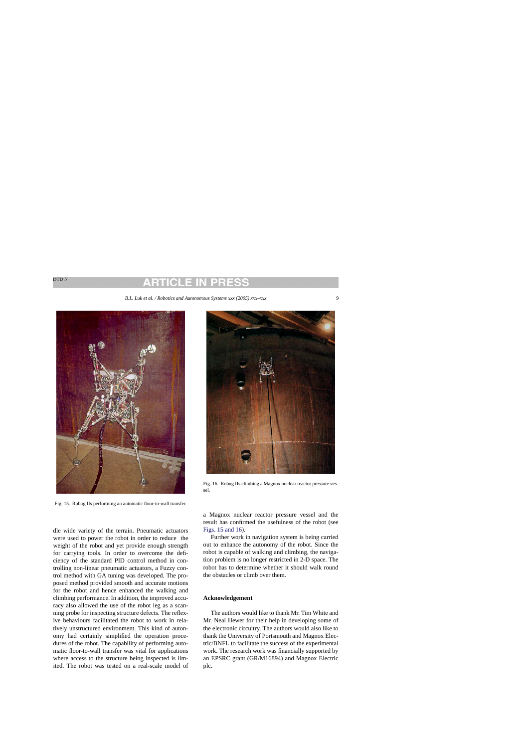

Fig. 15. Robug IIs performing an automatic floor-to-wall transfer.

dle wide variety of the terrain. Pneumatic actuators were used to power the robot in order to reduce the weight of the robot and yet provide enough strength for carrying tools. In order to overcome the deficiency of the standard PID control method in controlling non-linear pneumatic actuators, a Fuzzy control method with GA tuning was developed. The proposed method provided smooth and accurate motions for the robot and hence enhanced the walking and climbing performance. In addition, the improved accuracy also allowed the use of the robot leg as a scanning probe for inspecting structure defects. The reflexive behaviours facilitated the robot to work in relatively unstructured environment. This kind of autonomy had certainly simplified the operation procedures of the robot. The capability of performing automatic floor-to-wall transfer was vital for applications where access to the structure being inspected is limited. The robot was tested on a real-scale model of



Fig. 16. Robug IIs climbing a Magnox nuclear reactor pressure vessel.

a Magnox nuclear reactor pressure vessel and the result has confirmed the usefulness of the robot (see Figs. 15 and 16).

Further work in navigation system is being carried out to enhance the autonomy of the robot. Since the robot is capable of walking and climbing, the navigation problem is no longer restricted in 2-D space. The robot has to determine whether it should walk round the obstacles or climb over them.

# **Acknowledgement**

The authors would like to thank Mr. Tim White and Mr. Neal Hewer for their help in developing some of the electronic circuitry. The authors would also like to thank the University of Portsmouth and Magnox Electric/BNFL to facilitate the success of the experimental work. The research work was financially supported by an EPSRC grant (GR/M16894) and Magnox Electric plc.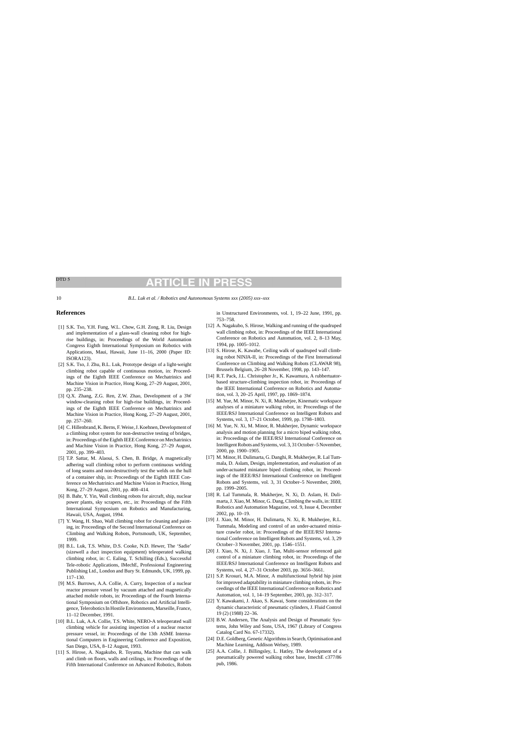# TICI E INT  $D =$

<span id="page-9-0"></span>10 *B.L. Luk et al. / Robotics and Autonomous Systems xxx (2005) xxx–xxx*

# **References**

- [1] S.K. Tso, Y.H. Fung, W.L. Chow, G.H. Zong, R. Liu, Design and implementation of a glass-wall cleaning robot for highrise buildings, in: Proceedings of the World Automation Congress Eighth International Symposium on Robotics with Applications, Maui, Hawaii, June 11–16, 2000 (Paper ID: ISORA123).
- [2] S.K. Tso, J. Zhu, B.L. Luk, Prototype design of a light-weight climbing robot capable of continuous motion, in: Proceedings of the Eighth IEEE Conference on Mechatrinics and Machine Vision in Practice, Hong Kong, 27–29 August, 2001, pp. 235–238.
- [3] Q.X. Zhang, Z.G. Ren, Z.W. Zhao, Development of a 3W window-cleaning robot for high-rise buildings, in: Proceedings of the Eighth IEEE Conference on Mechatrinics and Machine Vision in Practice, Hong Kong, 27–29 August, 2001, pp. 257–260.
- [4] C. Hillenbrand, K. Berns, F. Weise, J. Koehnen, Development of a climbing robot system for non-destructive testing of bridges, in: Proceedings of the Eighth IEEE Conference on Mechatrinics and Machine Vision in Practice, Hong Kong, 27–29 August, 2001, pp. 399–403.
- [5] T.P. Sattar, M. Alaoui, S. Chen, B. Bridge, A magnetically adhering wall climbing robot to perform continuous welding of long seams and non-destructively test the welds on the hull of a container ship, in: Proceedings of the Eighth IEEE Conference on Mechatrinics and Machine Vision in Practice, Hong Kong, 27–29 August, 2001, pp. 408–414.
- [6] B. Bahr, Y. Yin, Wall climbing robots for aircraft, ship, nuclear power plants, sky scrapers, etc., in: Proceedings of the Fifth International Symposium on Robotics and Manufacturing, Hawaii, USA, August, 1994.
- [7] Y. Wang, H. Shao, Wall climbing robot for cleaning and painting, in: Proceedings of the Second International Conference on Climbing and Walking Robots, Portsmouth, UK, September, 1999.
- [8] B.L. Luk, T.S. White, D.S. Cooke, N.D. Hewer, The 'Sadie' (sizewell a duct inspection equipment) teleoperated walking climbing robot, in: C. Ealing, T. Schilling (Eds.), Successful Tele-robotic Applications, IMechE, Professional Engineering Publishing Ltd., London and Bury St. Edmunds, UK, 1999, pp. 117–130.
- [9] M.S. Burrows, A.A. Collie, A. Curry, Inspection of a nuclear reactor pressure vessel by vacuum attached and magnetically attached mobile robots, in: Proceedings of the Fourth International Symposium on Offshore, Robotics and Artificial Intelligence, Telerobotics In Hostile Environments, Marseille, France, 11–12 December, 1991.
- [10] B.L. Luk, A.A. Collie, T.S. White, NERO-A teleoperated wall climbing vehicle for assisting inspection of a nuclear reactor pressure vessel, in: Proceedings of the 13th ASME International Computers in Engineering Conference and Exposition, San Diego, USA, 8–12 August, 1993.
- [11] S. Hirose, A. Nagakubo, R. Toyama, Machine that can walk and climb on floors, walls and ceilings, in: Proceedings of the Fifth International Conference on Advanced Robotics, Robots

in Unstructured Environments, vol. 1, 19–22 June, 1991, pp. 753–758.

- [12] A. Nagakubo, S. Hirose, Walking and running of the quadruped wall climbing robot, in: Proceedings of the IEEE International Conference on Robotics and Automation, vol. 2, 8–13 May, 1994, pp. 1005–1012.
- [13] S. Hirose, K. Kawabe, Ceiling walk of quadruped wall climbing robot NINJA-II, in: Proceedings of the First International Conference on Climbing and Walking Robots (CLAWAR 98), Brussels Belgium, 26–28 November, 1998, pp. 143–147.
- [14] R.T. Pack, J.L. Christopher Jr., K. Kawamura, A rubbertuatorbased structure-climbing inspection robot, in: Proceedings of the IEEE International Conference on Robotics and Automation, vol. 3, 20–25 April, 1997, pp. 1869–1874.
- [15] M. Yue, M. Minor, N. Xi, R. Mukherjee, Kinematic workspace analyses of a miniature walking robot, in: Proceedings of the IEEE/RSJ International Conference on Intelligent Robots and Systems, vol. 3, 17–21 October, 1999, pp. 1798–1803.
- [16] M. Yue, N. Xi, M. Minor, R. Mukherjee, Dynamic workspace analysis and motion planning for a micro biped walking robot, in: Proceedings of the IEEE/RSJ International Conference on Intelligent Robots and Systems, vol. 3, 31 October–5 November, 2000, pp. 1900–1905.
- [17] M. Minor, H. Dulimarta, G. Danghi, R. Mukherjee, R. Lal Tummala, D. Aslam, Design, implementation, and evaluation of an under-actuated miniature biped climbing robot, in: Proceedings of the IEEE/RSJ International Conference on Intelligent Robots and Systems, vol. 3, 31 October–5 November, 2000, pp. 1999–2005.
- [18] R. Lal Tummala, R. Mukherjee, N. Xi, D. Aslam, H. Dulimarta, J. Xiao, M. Minor, G. Dang, Climbing the walls, in: IEEE Robotics and Automation Magazine, vol. 9, Issue 4, December 2002, pp. 10–19.
- [19] J. Xiao, M. Minor, H. Dulimarta, N. Xi, R. Mukherjee, R.L. Tummala, Modeling and control of an under-actuated miniature crawler robot, in: Proceedings of the IEEE/RSJ International Conference on Intelligent Robots and Systems, vol. 3, 29 October–3 November, 2001, pp. 1546–1551.
- [20] J. Xiao, N. Xi, J. Xiao, J. Tan, Multi-sensor referenced gait control of a miniature climbing robot, in: Proceedings of the IEEE/RSJ International Conference on Intelligent Robots and Systems, vol. 4, 27–31 October 2003, pp. 3656–3661.
- [21] S.P. Krosuri, M.A. Minor, A multifunctional hybrid hip joint for improved adaptability in miniature climbing robots, in: Proceedings of the IEEE International Conference on Robotics and Automation, vol. 1, 14–19 September, 2003, pp. 312–317.
- [22] Y. Kawakami, J. Akao, S. Kawai, Some considerations on the dynamic characteristic of pneumatic cylinders, J. Fluid Control 19 (2) (1988) 22–36.
- [23] B.W. Andersen, The Analysis and Design of Pneumatic Systems, John Wiley and Sons, USA, 1967 (Library of Congress Catalog Card No. 67-17332).
- [24] D.E. Goldberg, Genetic Algorithms in Search, Optimisation and Machine Learning, Addison Welsey, 1989.
- [25] A.A. Collie, J. Billingsley, L. Hatley, The development of a pneumatically powered walking robot base, ImechE c377/86 pub, 1986.